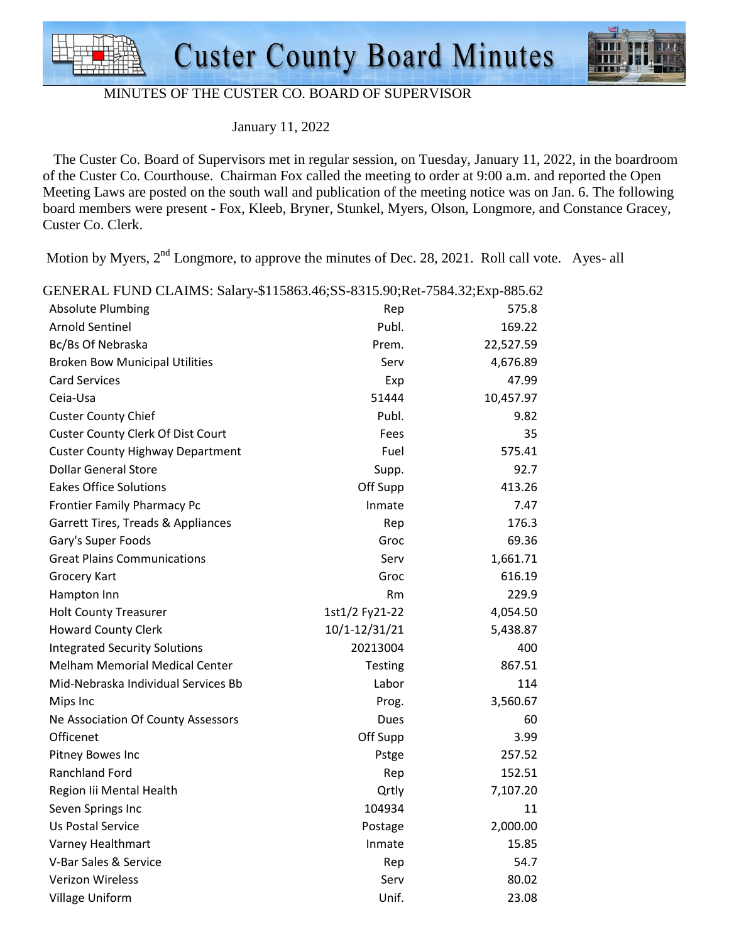



#### MINUTES OF THE CUSTER CO. BOARD OF SUPERVISOR

January 11, 2022

 The Custer Co. Board of Supervisors met in regular session, on Tuesday, January 11, 2022, in the boardroom of the Custer Co. Courthouse. Chairman Fox called the meeting to order at 9:00 a.m. and reported the Open Meeting Laws are posted on the south wall and publication of the meeting notice was on Jan. 6. The following board members were present - Fox, Kleeb, Bryner, Stunkel, Myers, Olson, Longmore, and Constance Gracey, Custer Co. Clerk.

Motion by Myers,  $2<sup>nd</sup>$  Longmore, to approve the minutes of Dec. 28, 2021. Roll call vote. Ayes- all

| GENERAL FUND CLAIMS: Salary-\$115863.46;SS-8315.90;Ret-7584.32;Exp-885.62 |                |           |  |  |
|---------------------------------------------------------------------------|----------------|-----------|--|--|
| <b>Absolute Plumbing</b>                                                  | Rep            | 575.8     |  |  |
| <b>Arnold Sentinel</b>                                                    | Publ.          | 169.22    |  |  |
| Bc/Bs Of Nebraska                                                         | Prem.          | 22,527.59 |  |  |
| <b>Broken Bow Municipal Utilities</b>                                     | Serv           | 4,676.89  |  |  |
| <b>Card Services</b>                                                      | Exp            | 47.99     |  |  |
| Ceia-Usa                                                                  | 51444          | 10,457.97 |  |  |
| <b>Custer County Chief</b>                                                | Publ.          | 9.82      |  |  |
| <b>Custer County Clerk Of Dist Court</b>                                  | Fees           | 35        |  |  |
| <b>Custer County Highway Department</b>                                   | Fuel           | 575.41    |  |  |
| <b>Dollar General Store</b>                                               | Supp.          | 92.7      |  |  |
| <b>Eakes Office Solutions</b>                                             | Off Supp       | 413.26    |  |  |
| <b>Frontier Family Pharmacy Pc</b>                                        | Inmate         | 7.47      |  |  |
| Garrett Tires, Treads & Appliances                                        | Rep            | 176.3     |  |  |
| Gary's Super Foods                                                        | Groc           | 69.36     |  |  |
| <b>Great Plains Communications</b>                                        | Serv           | 1,661.71  |  |  |
| <b>Grocery Kart</b>                                                       | Groc           | 616.19    |  |  |
| Hampton Inn                                                               | Rm             | 229.9     |  |  |
| <b>Holt County Treasurer</b>                                              | 1st1/2 Fy21-22 | 4,054.50  |  |  |
| <b>Howard County Clerk</b>                                                | 10/1-12/31/21  | 5,438.87  |  |  |
| <b>Integrated Security Solutions</b>                                      | 20213004       | 400       |  |  |
| <b>Melham Memorial Medical Center</b>                                     | Testing        | 867.51    |  |  |
| Mid-Nebraska Individual Services Bb                                       | Labor          | 114       |  |  |
| Mips Inc                                                                  | Prog.          | 3,560.67  |  |  |
| Ne Association Of County Assessors                                        | Dues           | 60        |  |  |
| Officenet                                                                 | Off Supp       | 3.99      |  |  |
| Pitney Bowes Inc                                                          | Pstge          | 257.52    |  |  |
| Ranchland Ford                                                            | Rep            | 152.51    |  |  |
| Region lii Mental Health                                                  | Qrtly          | 7,107.20  |  |  |
| Seven Springs Inc                                                         | 104934         | 11        |  |  |
| <b>Us Postal Service</b>                                                  | Postage        | 2,000.00  |  |  |
| Varney Healthmart                                                         | Inmate         | 15.85     |  |  |
| V-Bar Sales & Service                                                     | Rep            | 54.7      |  |  |
| <b>Verizon Wireless</b>                                                   | Serv           | 80.02     |  |  |
| <b>Village Uniform</b>                                                    | Unif.          | 23.08     |  |  |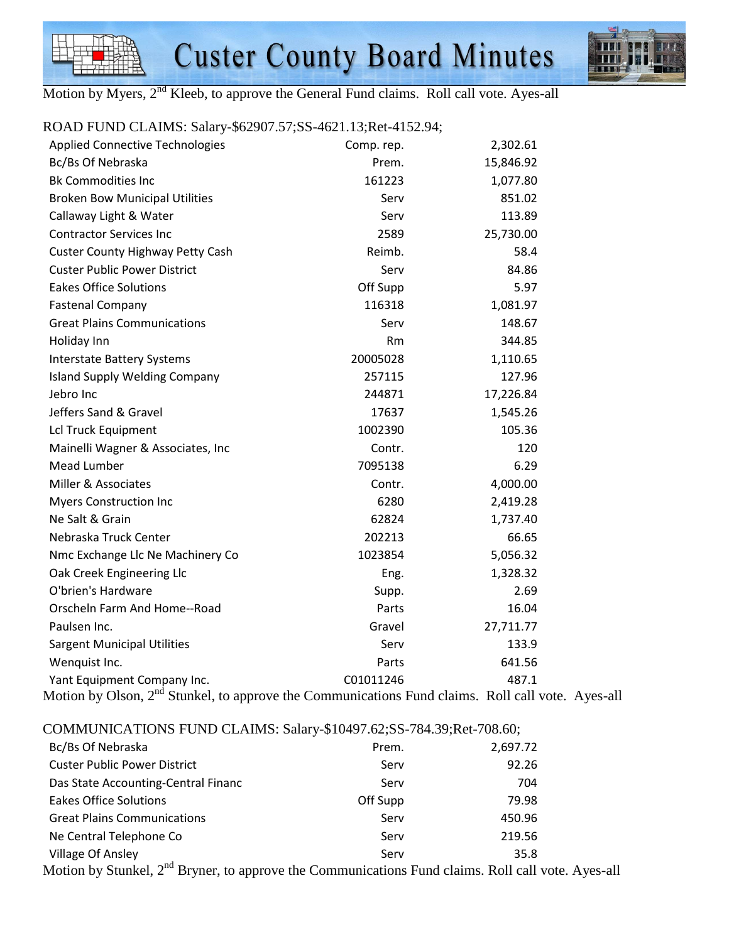



Motion by Myers, 2<sup>nd</sup> Kleeb, to approve the General Fund claims. Roll call vote. Ayes-all

## ROAD FUND CLAIMS: Salary-\$62907.57;SS-4621.13;Ret-4152.94;

| <b>Applied Connective Technologies</b>   | Comp. rep. | 2,302.61  |
|------------------------------------------|------------|-----------|
| Bc/Bs Of Nebraska                        | Prem.      | 15,846.92 |
| <b>Bk Commodities Inc</b>                | 161223     | 1,077.80  |
| <b>Broken Bow Municipal Utilities</b>    | Serv       | 851.02    |
| Callaway Light & Water                   | Serv       | 113.89    |
| <b>Contractor Services Inc</b>           | 2589       | 25,730.00 |
| <b>Custer County Highway Petty Cash</b>  | Reimb.     | 58.4      |
| <b>Custer Public Power District</b>      | Serv       | 84.86     |
| <b>Eakes Office Solutions</b>            | Off Supp   | 5.97      |
| <b>Fastenal Company</b>                  | 116318     | 1,081.97  |
| <b>Great Plains Communications</b>       | Serv       | 148.67    |
| Holiday Inn                              | Rm         | 344.85    |
| <b>Interstate Battery Systems</b>        | 20005028   | 1,110.65  |
| <b>Island Supply Welding Company</b>     | 257115     | 127.96    |
| Jebro Inc                                | 244871     | 17,226.84 |
| Jeffers Sand & Gravel                    | 17637      | 1,545.26  |
| Lcl Truck Equipment                      | 1002390    | 105.36    |
| Mainelli Wagner & Associates, Inc        | Contr.     | 120       |
| <b>Mead Lumber</b>                       | 7095138    | 6.29      |
| Miller & Associates                      | Contr.     | 4,000.00  |
| <b>Myers Construction Inc</b>            | 6280       | 2,419.28  |
| Ne Salt & Grain                          | 62824      | 1,737.40  |
| Nebraska Truck Center                    | 202213     | 66.65     |
| Nmc Exchange Llc Ne Machinery Co         | 1023854    | 5,056.32  |
| Oak Creek Engineering Llc                | Eng.       | 1,328.32  |
| O'brien's Hardware                       | Supp.      | 2.69      |
| Orscheln Farm And Home--Road             | Parts      | 16.04     |
| Paulsen Inc.                             | Gravel     | 27,711.77 |
| <b>Sargent Municipal Utilities</b>       | Serv       | 133.9     |
| Wenquist Inc.                            | Parts      | 641.56    |
| Yant Equipment Company Inc.<br>$-nd$ $-$ | C01011246  | 487.1     |

Motion by Olson, 2<sup>nd</sup> Stunkel, to approve the Communications Fund claims. Roll call vote. Ayes-all

COMMUNICATIONS FUND CLAIMS: Salary-\$10497.62;SS-784.39;Ret-708.60;

| Bc/Bs Of Nebraska                   | Prem.    | 2,697.72 |
|-------------------------------------|----------|----------|
| <b>Custer Public Power District</b> | Serv     | 92.26    |
| Das State Accounting-Central Financ | Serv     | 704      |
| <b>Eakes Office Solutions</b>       | Off Supp | 79.98    |
| <b>Great Plains Communications</b>  | Serv     | 450.96   |
| Ne Central Telephone Co             | Serv     | 219.56   |
| <b>Village Of Ansley</b>            | Serv     | 35.8     |
|                                     |          |          |

Motion by Stunkel,  $2<sup>nd</sup>$  Bryner, to approve the Communications Fund claims. Roll call vote. Ayes-all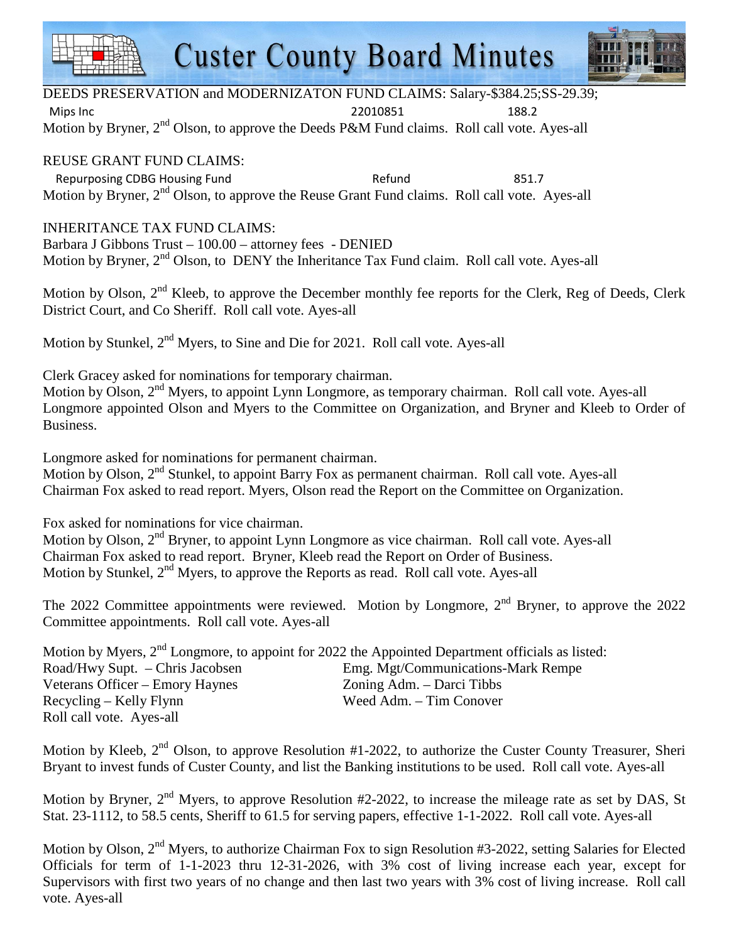# **Custer County Board Minutes**



DEEDS PRESERVATION and MODERNIZATON FUND CLAIMS: Salary-\$384.25;SS-29.39;

Mips Inc 22010851 188.2

Motion by Bryner,  $2<sup>nd</sup>$  Olson, to approve the Deeds P&M Fund claims. Roll call vote. Ayes-all

#### REUSE GRANT FUND CLAIMS:

Repurposing CDBG Housing Fund Refund Refund 851.7 Motion by Bryner, 2<sup>nd</sup> Olson, to approve the Reuse Grant Fund claims. Roll call vote. Ayes-all

## INHERITANCE TAX FUND CLAIMS:

Barbara J Gibbons Trust – 100.00 – attorney fees - DENIED Motion by Bryner, 2<sup>nd</sup> Olson, to DENY the Inheritance Tax Fund claim. Roll call vote. Ayes-all

Motion by Olson, 2<sup>nd</sup> Kleeb, to approve the December monthly fee reports for the Clerk, Reg of Deeds, Clerk District Court, and Co Sheriff. Roll call vote. Ayes-all

Motion by Stunkel, 2<sup>nd</sup> Myers, to Sine and Die for 2021. Roll call vote. Ayes-all

Clerk Gracey asked for nominations for temporary chairman.

Motion by Olson, 2<sup>nd</sup> Myers, to appoint Lynn Longmore, as temporary chairman. Roll call vote. Ayes-all Longmore appointed Olson and Myers to the Committee on Organization, and Bryner and Kleeb to Order of Business.

Longmore asked for nominations for permanent chairman.

Motion by Olson, 2<sup>nd</sup> Stunkel, to appoint Barry Fox as permanent chairman. Roll call vote. Ayes-all Chairman Fox asked to read report. Myers, Olson read the Report on the Committee on Organization.

Fox asked for nominations for vice chairman.

Motion by Olson, 2<sup>nd</sup> Bryner, to appoint Lynn Longmore as vice chairman. Roll call vote. Ayes-all Chairman Fox asked to read report. Bryner, Kleeb read the Report on Order of Business. Motion by Stunkel,  $2<sup>nd</sup>$  Myers, to approve the Reports as read. Roll call vote. Ayes-all

The 2022 Committee appointments were reviewed. Motion by Longmore,  $2<sup>nd</sup>$  Bryner, to approve the 2022 Committee appointments. Roll call vote. Ayes-all

| Motion by Myers, 2 <sup>nd</sup> Longmore, to appoint for 2022 the Appointed Department officials as listed: |                                    |
|--------------------------------------------------------------------------------------------------------------|------------------------------------|
| Road/Hwy Supt. - Chris Jacobsen                                                                              | Emg. Mgt/Communications-Mark Rempe |
| Veterans Officer – Emory Haynes                                                                              | Zoning Adm. – Darci Tibbs          |
| Recycling – Kelly Flynn                                                                                      | Weed Adm. – Tim Conover            |
| Roll call vote. Ayes-all                                                                                     |                                    |

Motion by Kleeb,  $2<sup>nd</sup>$  Olson, to approve Resolution #1-2022, to authorize the Custer County Treasurer, Sheri Bryant to invest funds of Custer County, and list the Banking institutions to be used. Roll call vote. Ayes-all

Motion by Bryner,  $2<sup>nd</sup>$  Myers, to approve Resolution #2-2022, to increase the mileage rate as set by DAS, St Stat. 23-1112, to 58.5 cents, Sheriff to 61.5 for serving papers, effective 1-1-2022. Roll call vote. Ayes-all

Motion by Olson, 2<sup>nd</sup> Myers, to authorize Chairman Fox to sign Resolution #3-2022, setting Salaries for Elected Officials for term of 1-1-2023 thru 12-31-2026, with 3% cost of living increase each year, except for Supervisors with first two years of no change and then last two years with 3% cost of living increase. Roll call vote. Ayes-all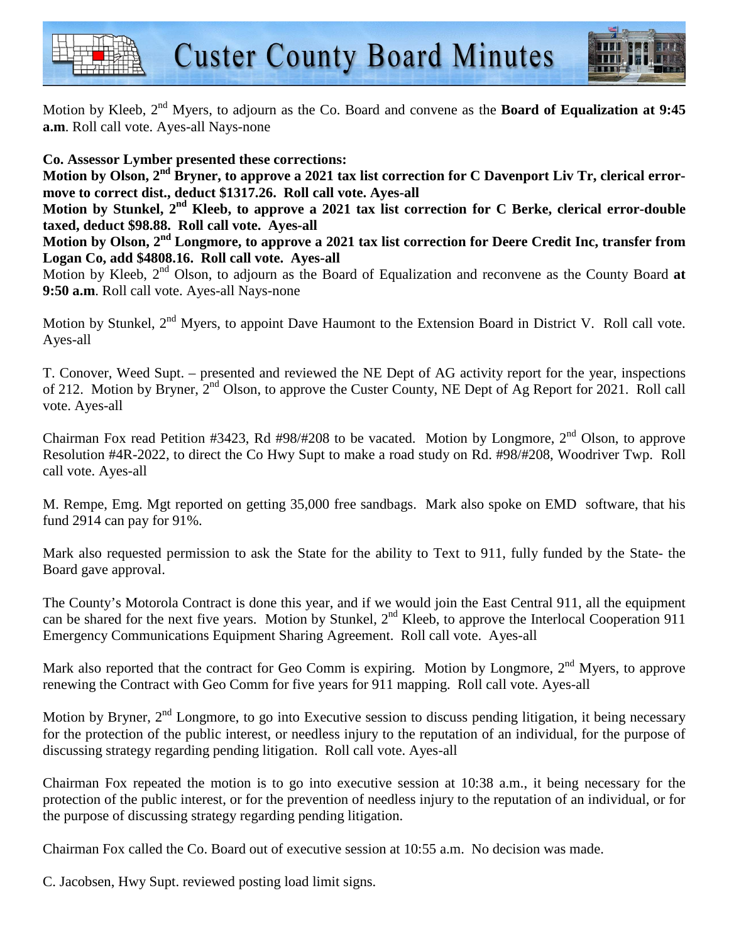



Motion by Kleeb, 2nd Myers, to adjourn as the Co. Board and convene as the **Board of Equalization at 9:45 a.m**. Roll call vote. Ayes-all Nays-none

## **Co. Assessor Lymber presented these corrections:**

**Motion by Olson, 2nd Bryner, to approve a 2021 tax list correction for C Davenport Liv Tr, clerical errormove to correct dist., deduct \$1317.26. Roll call vote. Ayes-all** 

**Motion by Stunkel, 2nd Kleeb, to approve a 2021 tax list correction for C Berke, clerical error-double taxed, deduct \$98.88. Roll call vote. Ayes-all** 

**Motion by Olson, 2nd Longmore, to approve a 2021 tax list correction for Deere Credit Inc, transfer from Logan Co, add \$4808.16. Roll call vote. Ayes-all** 

Motion by Kleeb, 2<sup>nd</sup> Olson, to adjourn as the Board of Equalization and reconvene as the County Board at **9:50 a.m**. Roll call vote. Ayes-all Nays-none

Motion by Stunkel, 2<sup>nd</sup> Myers, to appoint Dave Haumont to the Extension Board in District V. Roll call vote. Ayes-all

T. Conover, Weed Supt. – presented and reviewed the NE Dept of AG activity report for the year, inspections of 212. Motion by Bryner, 2nd Olson, to approve the Custer County, NE Dept of Ag Report for 2021. Roll call vote. Ayes-all

Chairman Fox read Petition #3423, Rd #98/#208 to be vacated. Motion by Longmore, 2<sup>nd</sup> Olson, to approve Resolution #4R-2022, to direct the Co Hwy Supt to make a road study on Rd. #98/#208, Woodriver Twp. Roll call vote. Ayes-all

M. Rempe, Emg. Mgt reported on getting 35,000 free sandbags. Mark also spoke on EMD software, that his fund 2914 can pay for 91%.

Mark also requested permission to ask the State for the ability to Text to 911, fully funded by the State- the Board gave approval.

The County's Motorola Contract is done this year, and if we would join the East Central 911, all the equipment can be shared for the next five years. Motion by Stunkel, 2<sup>nd</sup> Kleeb, to approve the Interlocal Cooperation 911 Emergency Communications Equipment Sharing Agreement. Roll call vote. Ayes-all

Mark also reported that the contract for Geo Comm is expiring. Motion by Longmore, 2<sup>nd</sup> Myers, to approve renewing the Contract with Geo Comm for five years for 911 mapping. Roll call vote. Ayes-all

Motion by Bryner, 2<sup>nd</sup> Longmore, to go into Executive session to discuss pending litigation, it being necessary for the protection of the public interest, or needless injury to the reputation of an individual, for the purpose of discussing strategy regarding pending litigation. Roll call vote. Ayes-all

Chairman Fox repeated the motion is to go into executive session at 10:38 a.m., it being necessary for the protection of the public interest, or for the prevention of needless injury to the reputation of an individual, or for the purpose of discussing strategy regarding pending litigation.

Chairman Fox called the Co. Board out of executive session at 10:55 a.m. No decision was made.

C. Jacobsen, Hwy Supt. reviewed posting load limit signs.